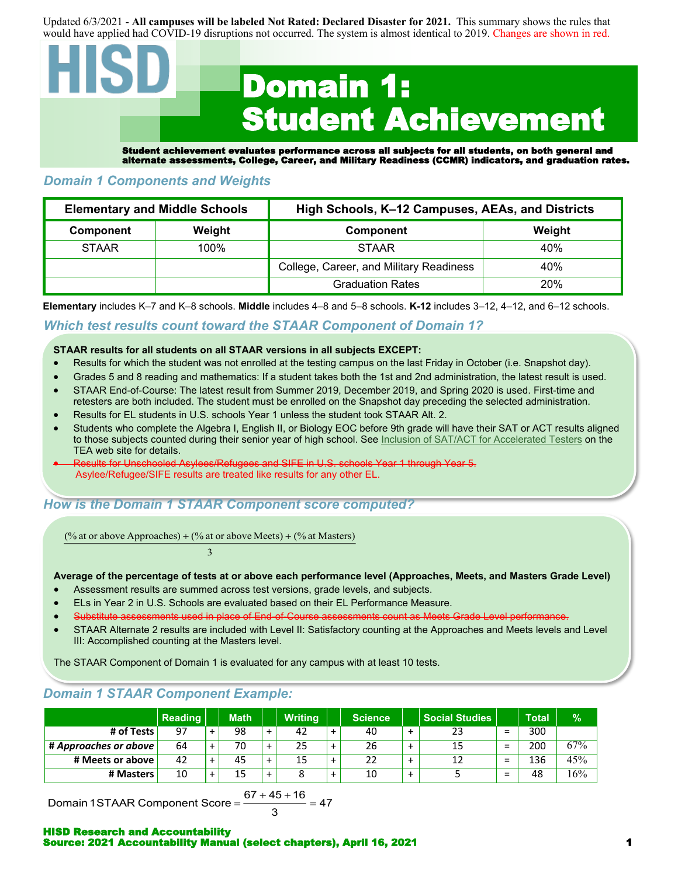Updated 6/3/2021 - **All campuses will be labeled Not Rated: Declared Disaster for 2021.** This summary shows the rules that would have applied had COVID-19 disruptions not occurred. The system is almost identical to 2019. Changes are shown in red.

# Domain 1: Student Achievement Student achievement evaluates performance across all subjects for all students, on both general and alternate assessments, College, Career, and Military Readiness (CCMR) indicators, and graduation rates.

# *Domain 1 Components and Weights*

|              | <b>Elementary and Middle Schools</b> | High Schools, K-12 Campuses, AEAs, and Districts |        |  |  |  |
|--------------|--------------------------------------|--------------------------------------------------|--------|--|--|--|
| Component    | Weight                               | Component                                        | Weight |  |  |  |
| <b>STAAR</b> | 100%                                 | <b>STAAR</b>                                     | 40%    |  |  |  |
|              |                                      | College, Career, and Military Readiness          | 40%    |  |  |  |
|              |                                      | <b>Graduation Rates</b>                          | 20%    |  |  |  |

**Elementary** includes K–7 and K–8 schools. **Middle** includes 4–8 and 5–8 schools. **K-12** includes 3–12, 4–12, and 6–12 schools.

#### *Which test results count toward the STAAR Component of Domain 1?*

#### **STAAR results for all students on all STAAR versions in all subjects EXCEPT:**

- Results for which the student was not enrolled at the testing campus on the last Friday in October (i.e. Snapshot day).
- Grades 5 and 8 reading and mathematics: If a student takes both the 1st and 2nd administration, the latest result is used.
- STAAR End-of-Course: The latest result from Summer 2019, December 2019, and Spring 2020 is used. First-time and retesters are both included. The student must be enrolled on the Snapshot day preceding the selected administration.
- Results for EL students in U.S. schools Year 1 unless the student took STAAR Alt. 2.
- Students who complete the Algebra I, English II, or Biology EOC before 9th grade will have their SAT or ACT results aligned to those subjects counted during their senior year of high school. See [Inclusion of SAT/ACT for Accelerated Testers](https://tea.texas.gov/sites/default/files/inclusion-of-sat-act-for-accelerated-testers-methodology-may-2021.pdf) on the TEA web site for details.
- Results for Unschooled Asylees/Refugees and SIFE in U.S. schools Year 1 through Year 5. Asylee/Refugee/SIFE results are treated like results for any other EL.

# *How is the Domain 1 STAAR Component score computed?*

(% at or above Approaches) + (% at or above Meets) + (% at Masters)

#### $3 \overline{3}$

#### **Average of the percentage of tests at or above each performance level (Approaches, Meets, and Masters Grade Level)**

- Assessment results are summed across test versions, grade levels, and subjects.
- ELs in Year 2 in U.S. Schools are evaluated based on their EL Performance Measure.
- essments used in place of End-of-Course assessments count as Meets Grade Level performance.
- STAAR Alternate 2 results are included with Level II: Satisfactory counting at the Approaches and Meets levels and Level III: Accomplished counting at the Masters level.

The STAAR Component of Domain 1 is evaluated for any campus with at least 10 tests.

# *Domain 1 STAAR Component Example:*

|                       | <b>Reading</b> | <b>Math</b> |           | <b>Writing</b> | Science |                | <b>Social Studies</b> |                               | <b>Total</b> | %   |
|-----------------------|----------------|-------------|-----------|----------------|---------|----------------|-----------------------|-------------------------------|--------------|-----|
| # of Tests            | 97             | 98          | $\ddot{}$ | 42             | 40      | $\div$         | 23                    | $=$                           | 300          |     |
| # Approaches or above | 64             | 70          | $\ddot{}$ | 25             | 26      | $\div$         | 15                    | $\overline{\phantom{0}}$<br>- | 200          | 67% |
| # Meets or above      | 42             | 45          | $\ddot{}$ | 15             | 22      | ┻              | 12                    | -<br>-                        | 136          | 45% |
| # Masters             | 10             | 15          | $\ddot{}$ |                | 10      | $\overline{+}$ |                       | $\overline{\phantom{0}}$<br>- | 48           | 16% |

Domain 1STAAR Component Score = — — = 47

$$
\frac{67+45+16}{3} = 47
$$

HISD Research and Accountability Source: 2021 Accountability Manual (select chapters), April 16, 2021 1